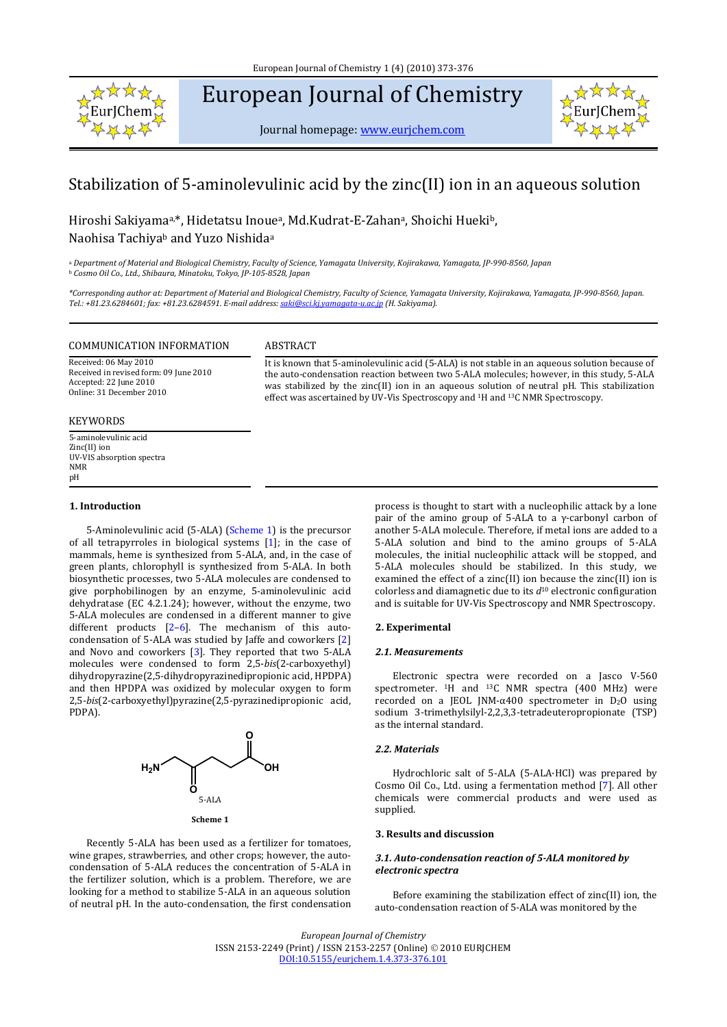

# European Journal of Chemistry

Journal homepage: www.eurjchem.com



## Stabilization of 5‐aminolevulinic acid by the zinc(II) ion in an aqueous solution

Hiroshi Sakiyamaa,\*, Hidetatsu Inouea, Md.Kudrat‐E‐Zahana, Shoichi Huekib, Naohisa Tachiyab and Yuzo Nishidaa

a Department of Material and Biological Chemistry, Faculty of Science, Yamagata University, Kojirakawa, Yamagata, JP-990-8560, Japan <sup>b</sup> *Cosmo Oil Co., Ltd., Shibaura, Minatoku, Tokyo, JP1058528, Japan*

\*Corresponding author at: Department of Material and Biological Chemistry, Faculty of Science, Yamagata University, Kojirakawa, Yamagata, JP-990-8560, Japan. *Tel.: +81.23.6284601; fax: +81.23.6284591. Email address: saki@sci.kj.yamagatau.ac.jp (H. Sakiyama).*

#### COMMUNICATION INFORMATION ABSTRACT

Received: 06 May 2010 Received in revised form: 09 June 2010 Accepted: 22 June 2010 Online: 31 December 2010

#### KEYWORDS

5‐aminolevulinic acid Zinc(II) ion UV‐VIS absorption spectra NMR pH

#### **1. Introduction**

5-Aminolevulinic acid (5-ALA) (Scheme 1) is the precursor of all tetrapyrroles in biological systems [1]; in the case of mammals, heme is synthesized from 5‐ALA, and, in the case of green plants, chlorophyll is synthesized from 5‐ALA. In both biosynthetic processes, two 5‐ALA molecules are condensed to give porphobilinogen by an enzyme, 5‐aminolevulinic acid dehydratase (EC 4.2.1.24); however, without the enzyme, two 5‐ALA molecules are condensed in a different manner to give different products  $[2-6]$ . The mechanism of this autocondensation of 5‐ALA was studied by Jaffe and coworkers [2] and Novo and coworkers [3]. They reported that two 5-ALA molecules were condensed to form 2,5‐*bis*(2‐carboxyethyl) dihydropyrazine(2,5‐dihydropyrazinedipropionic acid, HPDPA) and then HPDPA was oxidized by molecular oxygen to form 2,5‐*bis*(2‐carboxyethyl)pyrazine(2,5‐pyrazinedipropionic acid, PDPA).



Recently 5‐ALA has been used as a fertilizer for tomatoes, wine grapes, strawberries, and other crops; however, the autocondensation of 5‐ALA reduces the concentration of 5‐ALA in the fertilizer solution, which is a problem. Therefore, we are looking for a method to stabilize 5‐ALA in an aqueous solution of neutral pH. In the auto‐condensation, the first condensation

process is thought to start with a nucleophilic attack by a lone pair of the amino group of 5-ALA to a  $\gamma$ -carbonyl carbon of another 5‐ALA molecule. Therefore, if metal ions are added to a 5-ALA solution and bind to the amino groups of 5-ALA molecules, the initial nucleophilic attack will be stopped, and 5‐ALA molecules should be stabilized. In this study, we examined the effect of a zinc(II) ion because the zinc(II) ion is colorless and diamagnetic due to its *d*10 electronic configuration and is suitable for UV‐Vis Spectroscopy and NMR Spectroscopy.

It is known that 5‐aminolevulinic acid (5‐ALA) is not stable in an aqueous solution because of the auto-condensation reaction between two 5-ALA molecules; however, in this study, 5-ALA was stabilized by the zinc(II) ion in an aqueous solution of neutral pH. This stabilization

effect was ascertained by UV-Vis Spectroscopy and <sup>1</sup>H and <sup>13</sup>C NMR Spectroscopy.

#### **2. Experimental**

#### *2.1. Measurements*

Electronic spectra were recorded on a Jasco V‐560 spectrometer. <sup>1</sup>H and <sup>13</sup>C NMR spectra  $(400 \nvert \text{MHz})$  were recorded on a JEOL JNM- $α400$  spectrometer in  $D_2O$  using sodium 3-trimethylsilyl-2,2,3,3-tetradeuteropropionate (TSP) as the internal standard.

#### *2.2. Materials*

Hydrochloric salt of 5-ALA (5-ALA·HCl) was prepared by Cosmo Oil Co., Ltd. using a fermentation method [7]. All other chemicals were commercial products and were used as supplied.

#### **3. Results and discussion**

#### *3.1. Autocondensation reaction of 5ALA monitored by electronic spectra*

Before examining the stabilization effect of zinc(II) ion, the auto‐condensation reaction of 5‐ALA was monitored by the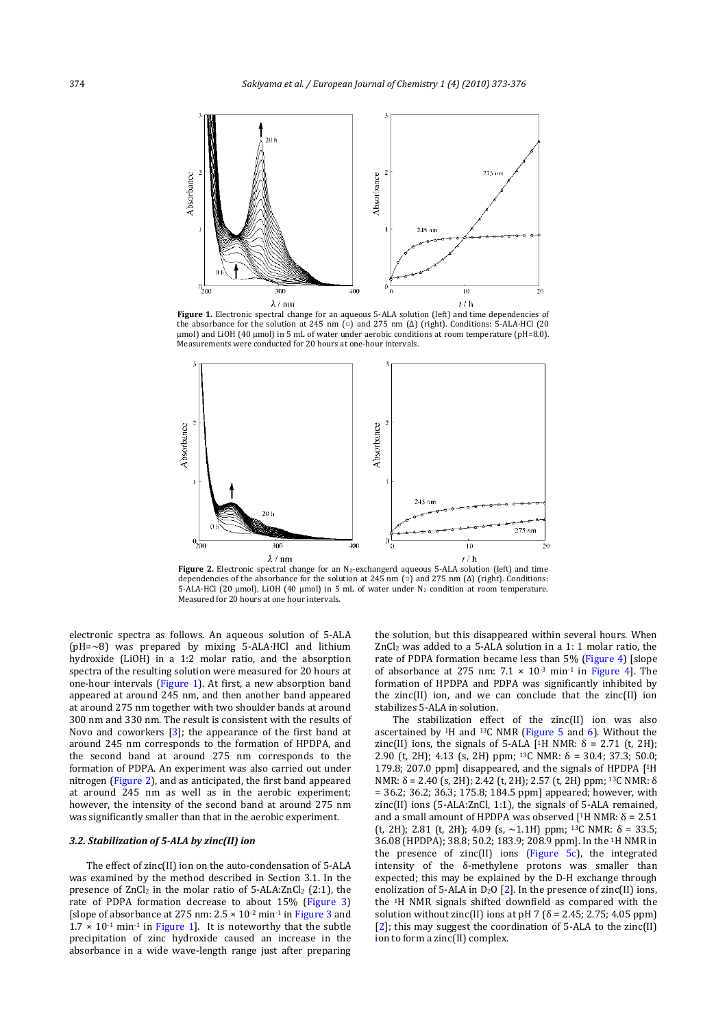

**Figure 1.** Electronic spectral change for an aqueous 5‐ALA solution (left) and time dependencies of the absorbance for the solution at 245 nm (o) and 275 nm (Δ) (right). Conditions: 5-ALA·HCl (20 μmol) and LiOH (40 μmol) in 5 mL of water under aerobic conditions at room temperature (pH=8.0). Measurements were conducted for 20 hours at one‐hour intervals.



**Figure 2.** Electronic spectral change for an N<sub>2</sub>-exchangerd aqueous 5-ALA solution (left) and time dependencies of the absorbance for the solution at 245 nm ( $\circ$ ) and 275 nm ( $\Delta$ ) (right). Conditions: 5‐ALA·HCl (20 μmol), LiOH (40 μmol) in 5 mL of water under N2 condition at room temperature. Measured for 20 hours at one hour intervals.

electronic spectra as follows. An aqueous solution of 5‐ALA  $(pH=-8)$  was prepared by mixing 5-ALA·HCl and lithium hydroxide (LiOH) in a 1:2 molar ratio, and the absorption spectra of the resulting solution were measured for 20 hours at one-hour intervals (Figure 1). At first, a new absorption band appeared at around 245 nm, and then another band appeared at around 275 nm together with two shoulder bands at around 300 nm and 330 nm. The result is consistent with the results of Novo and coworkers  $[3]$ ; the appearance of the first band at around 245 nm corresponds to the formation of HPDPA, and the second band at around 275 nm corresponds to the formation of PDPA. An experiment was also carried out under nitrogen (Figure 2), and as anticipated, the first band appeared at around 245 nm as well as in the aerobic experiment; however, the intensity of the second band at around 275 nm was significantly smaller than that in the aerobic experiment.

#### *3.2. Stabilization of 5ALA by zinc(II) ion*

The effect of zinc(II) ion on the auto‐condensation of 5‐ALA was examined by the method described in Section 3.1. In the presence of  $ZnCl<sub>2</sub>$  in the molar ratio of  $5$ -ALA: $ZnCl<sub>2</sub>$  (2:1), the rate of PDPA formation decrease to about 15% (Figure 3) [slope of absorbance at 275 nm:  $2.5 \times 10^{-2}$  min<sup>-1</sup> in Figure 3 and  $1.7 \times 10^{-1}$  min<sup>-1</sup> in Figure 1]. It is noteworthy that the subtle precipitation of zinc hydroxide caused an increase in the absorbance in a wide wave‐length range just after preparing the solution, but this disappeared within several hours. When ZnCl<sub>2</sub> was added to a 5-ALA solution in a 1: 1 molar ratio, the rate of PDPA formation became less than 5% (Figure 4) [slope of absorbance at 275 nm:  $7.1 \times 10^{-3}$  min<sup>-1</sup> in Figure 4]. The formation of HPDPA and PDPA was significantly inhibited by the zinc(II) ion, and we can conclude that the zinc(II) ion stabilizes 5‐ALA in solution.

The stabilization effect of the zinc(II) ion was also ascertained by  $1H$  and  $13C$  NMR (Figure 5 and 6). Without the zinc(II) ions, the signals of 5-ALA [<sup>1</sup>H NMR:  $\delta$  = 2.71 (t, 2H); 2.90 (t, 2H); 4.13 (s, 2H) ppm; <sup>13</sup>C NMR:  $\delta$  = 30.4; 37.3; 50.0; 179.8; 207.0 ppm] disappeared, and the signals of HPDPA [1H NMR: δ = 2.40 (s, 2H); 2.42 (t, 2H); 2.57 (t, 2H) ppm; 13C NMR: δ = 36.2; 36.2; 36.3; 175.8; 184.5 ppm] appeared; however, with zinc(II) ions (5‐ALA:ZnCl, 1:1), the signals of 5‐ALA remained, and a small amount of HPDPA was observed [<sup>1</sup>H NMR: δ = 2.51 (t, 2H); 2.81 (t, 2H); 4.09 (s,  $\sim$ 1.1H) ppm; <sup>13</sup>C NMR:  $\delta$  = 33.5; 36.08 (HPDPA); 38.8; 50.2; 183.9; 208.9 ppm]. In the 1H NMR in the presence of  $zinc(II)$  ions (Figure  $5c$ ), the integrated intensity of the  $\delta$ -methylene protons was smaller than expected; this may be explained by the D‐H exchange through enolization of 5-ALA in  $D_2O$  [2]. In the presence of zinc(II) ions, the 1H NMR signals shifted downfield as compared with the solution without zinc(II) ions at pH 7 ( $\delta$  = 2.45; 2.75; 4.05 ppm) [2]; this may suggest the coordination of 5-ALA to the zinc(II) ion to form a zinc(II) complex.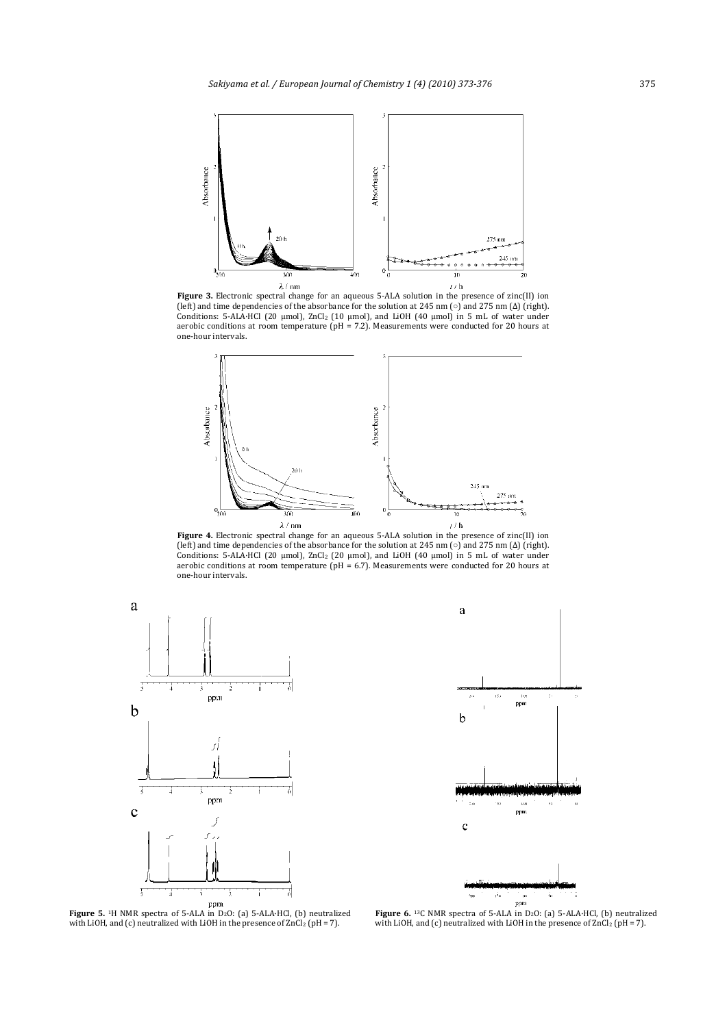

**Figure** 3. Electronic spectral change for an aqueous 5-ALA solution in the presence of zinc(II) ion (left) and time dependencies of the absorbance for the solution at 245 nm  $\circ$ ) and 275 nm ( $\Delta$ ) (right). Conditions:  $5$ -ALA·HCl  $(20 \text{ \mu mol})$ ,  $ZnCl_2$   $(10 \text{ \mu mol})$ , and  $LiOH$   $(40 \text{ \mu mol})$  in  $5 \text{ mL}$  of water under aerobic conditions at room temperature  $(pH = 7.2)$ . Measurements were conducted for 20 hours at one‐hour intervals.



**Figure 4.** Electronic spectral change for an aqueous 5-ALA solution in the presence of zinc(II) ion (left) and time dependencies of the absorbance for the solution at 245 nm ( $\circ$ ) and 275 nm ( $\Delta$ ) (right). Conditions:  $5$ -ALA·HCl  $(20 \mu \text{mol})$ ,  $ZnCl_2$   $(20 \mu \text{mol})$ , and  $LiOH$   $(40 \mu \text{mol})$  in  $5 \mu$ L of water under aerobic conditions at room temperature  $(pH = 6.7)$ . Measurements were conducted for 20 hours at one‐hour intervals.



 $\left( \delta \right)$  $\left\vert \left( \mathbf{g}\right) \right\rangle$ ppm  $\mathbf b$  $p_{\text{pml}}$  $\mathbf{c}$ 

 $\mathbf{a}$ 

**Figure 5.** 1H NMR spectra of 5‐ALA in D2O: (a) 5‐ALA·HCl, (b) neutralized with LiOH, and (c) neutralized with LiOH in the presence of  $ZnCl<sub>2</sub>$  (pH = 7).

ppm Figure 6. <sup>13</sup>C NMR spectra of 5-ALA in D<sub>2</sub>O: (a) 5-ALA·HCl, (b) neutralized with LiOH, and (c) neutralized with LiOH in the presence of  $ZnCl<sub>2</sub>$  (pH = 7).